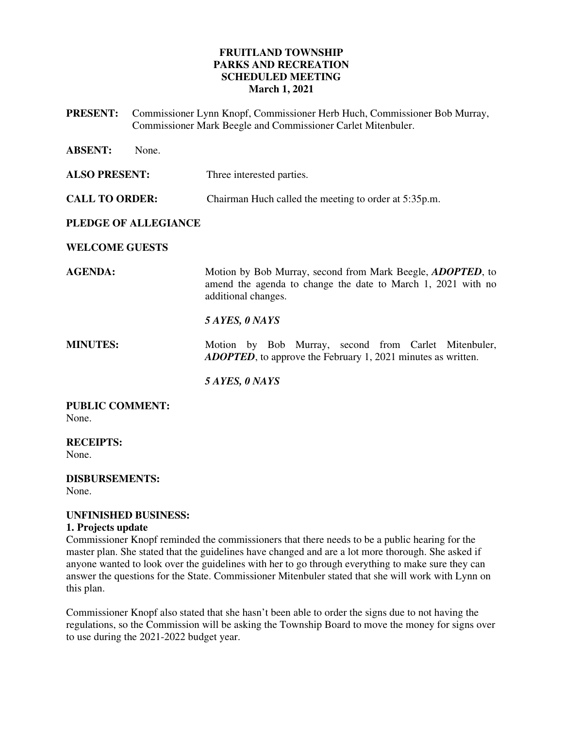# **FRUITLAND TOWNSHIP PARKS AND RECREATION SCHEDULED MEETING March 1, 2021**

**PRESENT:** Commissioner Lynn Knopf, Commissioner Herb Huch, Commissioner Bob Murray, Commissioner Mark Beegle and Commissioner Carlet Mitenbuler.

| <b>ABSENT:</b>                  | None. |                                                                                                                                                           |
|---------------------------------|-------|-----------------------------------------------------------------------------------------------------------------------------------------------------------|
| <b>ALSO PRESENT:</b>            |       | Three interested parties.                                                                                                                                 |
| <b>CALL TO ORDER:</b>           |       | Chairman Huch called the meeting to order at 5:35p.m.                                                                                                     |
| PLEDGE OF ALLEGIANCE            |       |                                                                                                                                                           |
| <b>WELCOME GUESTS</b>           |       |                                                                                                                                                           |
| <b>AGENDA:</b>                  |       | Motion by Bob Murray, second from Mark Beegle, <i>ADOPTED</i> , to<br>amend the agenda to change the date to March 1, 2021 with no<br>additional changes. |
|                                 |       | 5 AYES, 0 NAYS                                                                                                                                            |
| <b>MINUTES:</b>                 |       | Motion by Bob Murray, second from Carlet Mitenbuler,<br><b>ADOPTED</b> , to approve the February 1, 2021 minutes as written.                              |
|                                 |       | 5 AYES, 0 NAYS                                                                                                                                            |
| <b>PUBLIC COMMENT:</b><br>None. |       |                                                                                                                                                           |

**RECEIPTS:** 

None.

**DISBURSEMENTS:**  None.

# **UNFINISHED BUSINESS:**

# **1. Projects update**

Commissioner Knopf reminded the commissioners that there needs to be a public hearing for the master plan. She stated that the guidelines have changed and are a lot more thorough. She asked if anyone wanted to look over the guidelines with her to go through everything to make sure they can answer the questions for the State. Commissioner Mitenbuler stated that she will work with Lynn on this plan.

Commissioner Knopf also stated that she hasn't been able to order the signs due to not having the regulations, so the Commission will be asking the Township Board to move the money for signs over to use during the 2021-2022 budget year.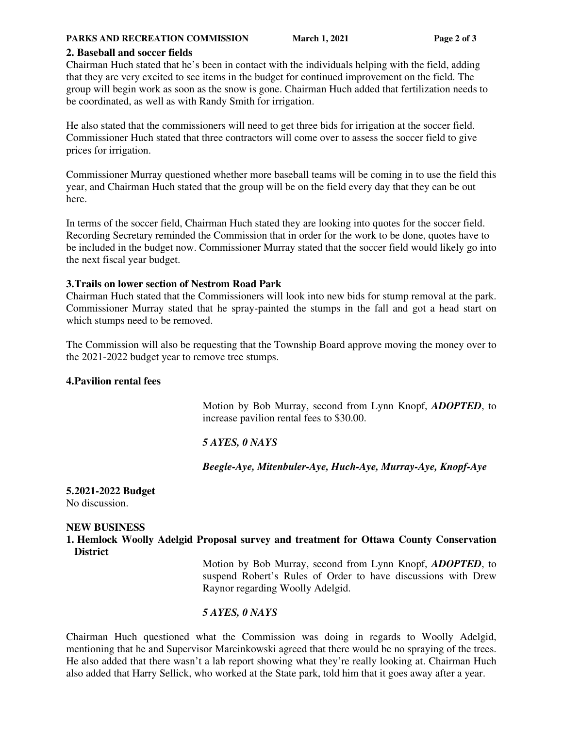#### **PARKS AND RECREATION COMMISSION** March 1, 2021 **Page 2 of 3**

### **2. Baseball and soccer fields**

Chairman Huch stated that he's been in contact with the individuals helping with the field, adding that they are very excited to see items in the budget for continued improvement on the field. The group will begin work as soon as the snow is gone. Chairman Huch added that fertilization needs to be coordinated, as well as with Randy Smith for irrigation.

He also stated that the commissioners will need to get three bids for irrigation at the soccer field. Commissioner Huch stated that three contractors will come over to assess the soccer field to give prices for irrigation.

Commissioner Murray questioned whether more baseball teams will be coming in to use the field this year, and Chairman Huch stated that the group will be on the field every day that they can be out here.

In terms of the soccer field, Chairman Huch stated they are looking into quotes for the soccer field. Recording Secretary reminded the Commission that in order for the work to be done, quotes have to be included in the budget now. Commissioner Murray stated that the soccer field would likely go into the next fiscal year budget.

### **3.Trails on lower section of Nestrom Road Park**

Chairman Huch stated that the Commissioners will look into new bids for stump removal at the park. Commissioner Murray stated that he spray-painted the stumps in the fall and got a head start on which stumps need to be removed.

The Commission will also be requesting that the Township Board approve moving the money over to the 2021-2022 budget year to remove tree stumps.

### **4.Pavilion rental fees**

Motion by Bob Murray, second from Lynn Knopf, *ADOPTED*, to increase pavilion rental fees to \$30.00.

# *5 AYES, 0 NAYS*

*Beegle-Aye, Mitenbuler-Aye, Huch-Aye, Murray-Aye, Knopf-Aye* 

#### **5.2021-2022 Budget**  No discussion.

### **NEW BUSINESS**

**1. Hemlock Woolly Adelgid Proposal survey and treatment for Ottawa County Conservation District** 

> Motion by Bob Murray, second from Lynn Knopf, *ADOPTED*, to suspend Robert's Rules of Order to have discussions with Drew Raynor regarding Woolly Adelgid.

# *5 AYES, 0 NAYS*

Chairman Huch questioned what the Commission was doing in regards to Woolly Adelgid, mentioning that he and Supervisor Marcinkowski agreed that there would be no spraying of the trees. He also added that there wasn't a lab report showing what they're really looking at. Chairman Huch also added that Harry Sellick, who worked at the State park, told him that it goes away after a year.